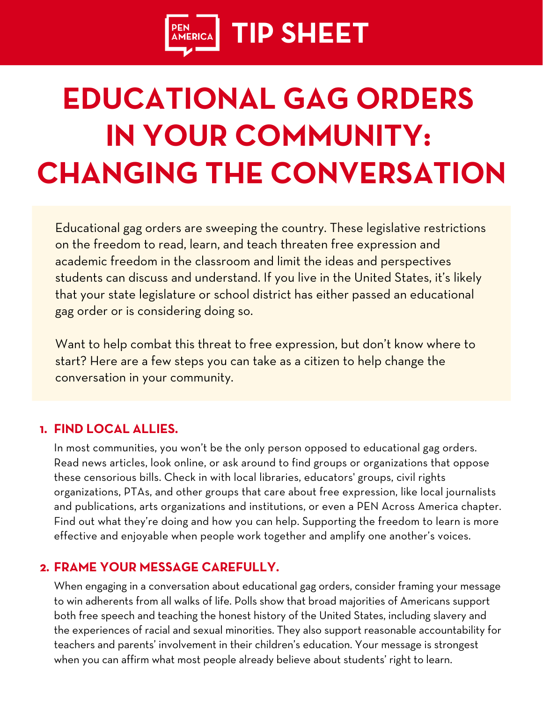

# **EDUCATIONAL GAG ORDERS IN YOUR COMMUNITY: CHANGING THE CONVERSATION**

[Educational](https://pen.org/report/educational-gag-orders/) gag orders are sweeping the country. These legislative restrictions on the freedom to read, learn, and teach threaten free [expression](https://pen.org/report/educational-gag-orders/) and academic freedom in the classroom and limit the ideas and [perspectives](https://pen.org/report/educational-gag-orders/) students can discuss and [understand.](https://pen.org/report/educational-gag-orders/) If you live in the United States, it's likely that your state legislature or school district has either passed an [educational](https://pen.org/report/educational-gag-orders/) gag order or is [considering](https://pen.org/report/educational-gag-orders/) doing so.

Want to help combat this threat to free [expression,](https://pen.org/report/educational-gag-orders/) but don't know where to start? Here are a few steps you can take as a citizen to help [change](https://pen.org/report/educational-gag-orders/) the [conversation](https://pen.org/report/educational-gag-orders/) in your community.

## **FIND LOCAL ALLIES. 1.**

In most communities, you won't be the only person opposed to educational gag orders. Read news articles, look online, or ask around to find groups or organizations that oppose these censorious bills. Check in with local libraries, educators' groups, civil rights organizations, PTAs, and other groups that care about free expression, like local journalists and publications, arts organizations and institutions, or even a PEN Across America chapter. Find out what they're doing and how you can help. Supporting the freedom to learn is more effective and enjoyable when people work together and amplify one another's voices.

#### **FRAME YOUR MESSAGE CAREFULLY. 2.**

When engaging in a conversation about educational gag orders, consider framing your message to win adherents from all walks of life. Polls show that broad majorities of Americans support both free speech and teaching the honest history of the United States, including slavery and the experiences of racial and sexual minorities. They also support reasonable accountability for teachers and parents' involvement in their children's education. Your message is strongest when you can affirm what most people already believe about students' right to learn.